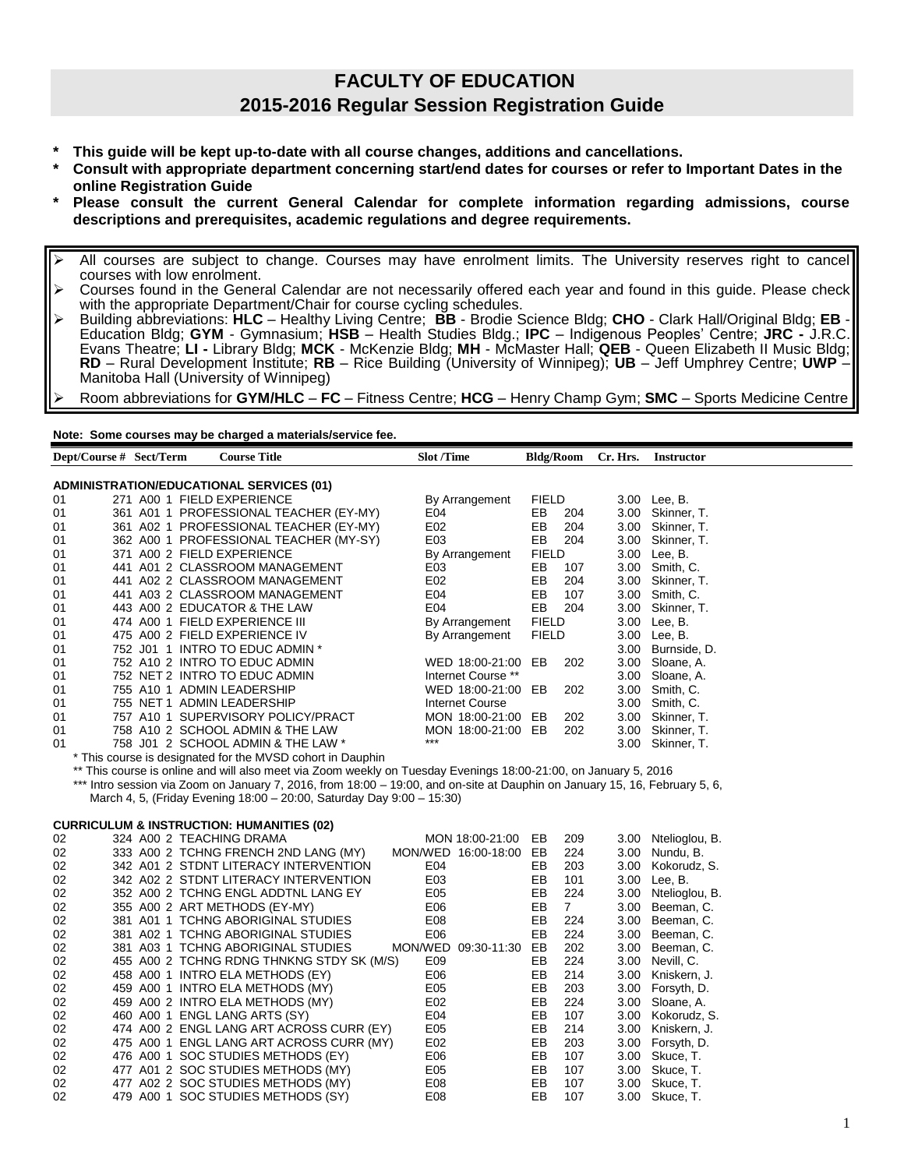## **FACULTY OF EDUCATION 2015-2016 Regular Session Registration Guide**

- **\* This guide will be kept up-to-date with all course changes, additions and cancellations.**
- **\* Consult with appropriate department concerning start/end dates for courses or refer to Important Dates in the online Registration Guide**
- **\* Please consult the current General Calendar for complete information regarding admissions, course descriptions and prerequisites, academic regulations and degree requirements.**
- All courses are subject to change. Courses may have enrolment limits. The University reserves right to cancel courses with low enrolment.
- $\triangleright$  Courses found in the General Calendar are not necessarily offered each year and found in this guide. Please check with the appropriate Department/Chair for course cycling schedules.
- Building abbreviations: **HLC**  Healthy Living Centre; **BB** Brodie Science Bldg; **CHO** Clark Hall/Original Bldg; **EB** Education Bldg; **GYM** - Gymnasium; **HSB** – Health Studies Bldg.; **IPC** – Indigenous Peoples' Centre; **JRC -** J.R.C. Evans Theatre; **LI -** Library Bldg; **MCK** - McKenzie Bldg; **MH** - McMaster Hall; **QEB** - Queen Elizabeth II Music Bldg; **RD** – Rural Development Institute; **RB** – Rice Building (University of Winnipeg); **UB** – Jeff Umphrey Centre; **UWP** – Manitoba Hall (University of Winnipeg)
- Room abbreviations for **GYM/HLC FC** Fitness Centre; **HCG** Henry Champ Gym; **SMC** Sports Medicine Centre

**Note: Some courses may be charged a materials/service fee.**

| Dept/Course # Sect/Term |                          | <b>Course Title</b>                                                                                                         | <b>Slot /Time</b>      | <b>Bldg/Room</b>     | Cr. Hrs. | <b>Instructor</b>   |
|-------------------------|--------------------------|-----------------------------------------------------------------------------------------------------------------------------|------------------------|----------------------|----------|---------------------|
|                         |                          |                                                                                                                             |                        |                      |          |                     |
|                         |                          | <b>ADMINISTRATION/EDUCATIONAL SERVICES (01)</b>                                                                             |                        |                      |          |                     |
| 01                      |                          | 271 A00 1 FIELD EXPERIENCE                                                                                                  | By Arrangement         | <b>FIELD</b>         |          | 3.00 Lee, B.        |
| 01                      |                          | 361 A01 1 PROFESSIONAL TEACHER (EY-MY)                                                                                      | E04                    | EB<br>204            |          | 3.00 Skinner, T.    |
| 01                      |                          | 361 A02 1 PROFESSIONAL TEACHER (EY-MY)                                                                                      | E02                    | EB<br>204            |          | 3.00 Skinner, T.    |
| 01                      |                          | 362 A00 1 PROFESSIONAL TEACHER (MY-SY)                                                                                      | E03                    | EB<br>204            |          | 3.00 Skinner, T.    |
| 01                      |                          | 371 A00 2 FIELD EXPERIENCE                                                                                                  | By Arrangement         | <b>FIELD</b>         |          | 3.00 Lee, B.        |
| 01                      |                          | 441 A01 2 CLASSROOM MANAGEMENT                                                                                              | E03                    | EB<br>107            |          | 3.00 Smith, C.      |
| 01                      |                          | 441 A02 2 CLASSROOM MANAGEMENT                                                                                              | E02                    | EB<br>204            |          | 3.00 Skinner, T.    |
| 01                      |                          | 441 A03 2 CLASSROOM MANAGEMENT                                                                                              | E04                    | EB<br>107            |          | 3.00 Smith, C.      |
| 01                      |                          | 443 A00 2 EDUCATOR & THE LAW                                                                                                | E04                    | EB<br>204            |          | 3.00 Skinner, T.    |
| 01                      |                          | 474 A00 1 FIELD EXPERIENCE III                                                                                              | By Arrangement         | <b>FIELD</b>         |          | 3.00 Lee, B.        |
| 01                      |                          | 475 A00 2 FIELD EXPERIENCE IV                                                                                               | By Arrangement         | <b>FIELD</b>         |          | 3.00 Lee, B.        |
| 01                      |                          | 752 J01 1 INTRO TO EDUC ADMIN *                                                                                             |                        |                      |          | 3.00 Burnside, D.   |
| 01                      |                          | 752 A10 2 INTRO TO EDUC ADMIN                                                                                               | WED 18:00-21:00 EB     | 202                  |          | 3.00 Sloane, A.     |
| 01                      |                          | 752 NET 2 INTRO TO EDUC ADMIN                                                                                               | Internet Course **     |                      |          | 3.00 Sloane, A.     |
| 01                      |                          | 755 A10 1 ADMIN LEADERSHIP                                                                                                  | WED 18:00-21:00 EB     | 202                  |          | 3.00 Smith, C.      |
| 01                      |                          | 755 NET 1 ADMIN LEADERSHIP                                                                                                  | <b>Internet Course</b> |                      |          | 3.00 Smith, C.      |
| 01                      |                          | 757 A10 1 SUPERVISORY POLICY/PRACT                                                                                          | MON 18:00-21:00 EB     | 202                  |          | 3.00 Skinner, T.    |
| 01                      |                          | 758 A10 2 SCHOOL ADMIN & THE LAW                                                                                            | MON 18:00-21:00 EB     | 202                  |          | 3.00 Skinner, T.    |
| 01                      |                          | 758 J01 2 SCHOOL ADMIN & THE LAW *                                                                                          | ***                    |                      |          | 3.00 Skinner, T.    |
|                         |                          | * This course is designated for the MVSD cohort in Dauphin                                                                  |                        |                      |          |                     |
|                         |                          | ** This course is online and will also meet via Zoom weekly on Tuesday Evenings 18:00-21:00, on January 5, 2016             |                        |                      |          |                     |
|                         |                          | *** Intro session via Zoom on January 7, 2016, from 18:00 - 19:00, and on-site at Dauphin on January 15, 16, February 5, 6, |                        |                      |          |                     |
|                         |                          | March 4, 5, (Friday Evening 18:00 - 20:00, Saturday Day 9:00 - 15:30)                                                       |                        |                      |          |                     |
|                         |                          |                                                                                                                             |                        |                      |          |                     |
|                         |                          | <b>CURRICULUM &amp; INSTRUCTION: HUMANITIES (02)</b>                                                                        |                        |                      |          |                     |
| 02                      | 324 A00 2 TEACHING DRAMA |                                                                                                                             | MON 18:00-21:00 EB     | 209                  |          | 3.00 Ntelioglou, B. |
| 02                      |                          | 333 A00 2 TCHNG FRENCH 2ND LANG (MY)                                                                                        | MON/WED 16:00-18:00 EB | 224                  |          | 3.00 Nundu, B.      |
| 02                      |                          | 342 A01 2 STDNT LITERACY INTERVENTION                                                                                       | E04                    | 203<br>EB            | 3.00     | Kokorudz, S.        |
| 02                      |                          | 342 A02 2 STDNT LITERACY INTERVENTION                                                                                       | E03                    | EВ<br>101            |          | 3.00 Lee, B.        |
|                         |                          |                                                                                                                             |                        | 224                  |          |                     |
| 02                      |                          | 352 A00 2 TCHNG ENGL ADDTNL LANG EY                                                                                         | E05                    | EВ                   |          | 3.00 Ntelioglou, B. |
| 02                      |                          | 355 A00 2 ART METHODS (EY-MY)                                                                                               | E06                    | EВ<br>7 <sup>1</sup> |          | 3.00 Beeman, C.     |
| 02                      |                          | 381 A01 1 TCHNG ABORIGINAL STUDIES                                                                                          | E08                    | EB<br>224            |          | 3.00 Beeman, C.     |
| 02                      |                          | 381 A02 1 TCHNG ABORIGINAL STUDIES                                                                                          | E06                    | EВ<br>224            |          | 3.00 Beeman, C.     |
| 02                      |                          | 381 A03 1 TCHNG ABORIGINAL STUDIES                                                                                          | MON/WED 09:30-11:30 EB | 202                  |          | 3.00 Beeman, C.     |
| 02                      |                          | 455 A00 2 TCHNG RDNG THNKNG STDY SK (M/S)                                                                                   | E09                    | EВ<br>224            |          | 3.00 Nevill, C.     |
| 02                      |                          | 458 A00 1 INTRO ELA METHODS (EY)                                                                                            | E06                    | EВ<br>214            | 3.00     | Kniskern, J.        |
| 02                      |                          | 459 A00 1 INTRO ELA METHODS (MY)                                                                                            | E05                    | EВ<br>203            |          | 3.00 Forsyth, D.    |
| 02                      |                          | 459 A00 2 INTRO ELA METHODS (MY)                                                                                            | E02                    | EВ<br>224            | 3.00     | Sloane, A.          |
| 02                      |                          | 460 A00 1 ENGL LANG ARTS (SY)                                                                                               | E04                    | EB<br>107            |          | 3.00 Kokorudz, S.   |
| 02                      |                          | 474 A00 2 ENGL LANG ART ACROSS CURR (EY)                                                                                    | E05                    | EВ<br>214            |          | 3.00 Kniskern, J.   |
| 02                      |                          | 475 A00 1 ENGL LANG ART ACROSS CURR (MY)                                                                                    | E02                    | EB<br>203            |          | 3.00 Forsyth, D.    |
| 02                      |                          | 476 A00 1 SOC STUDIES METHODS (EY)                                                                                          | E06                    | EВ<br>107            |          | 3.00 Skuce, T.      |
| 02                      |                          | 477 A01 2 SOC STUDIES METHODS (MY)                                                                                          | E05                    | EB<br>107            |          | 3.00 Skuce, T.      |
| 02                      |                          | 477 A02 2 SOC STUDIES METHODS (MY)                                                                                          | E08                    | EВ<br>107            |          | 3.00 Skuce, T.      |
| 02                      |                          | 479 A00 1 SOC STUDIES METHODS (SY)                                                                                          | E08                    | EВ<br>107            |          | 3.00 Skuce, T.      |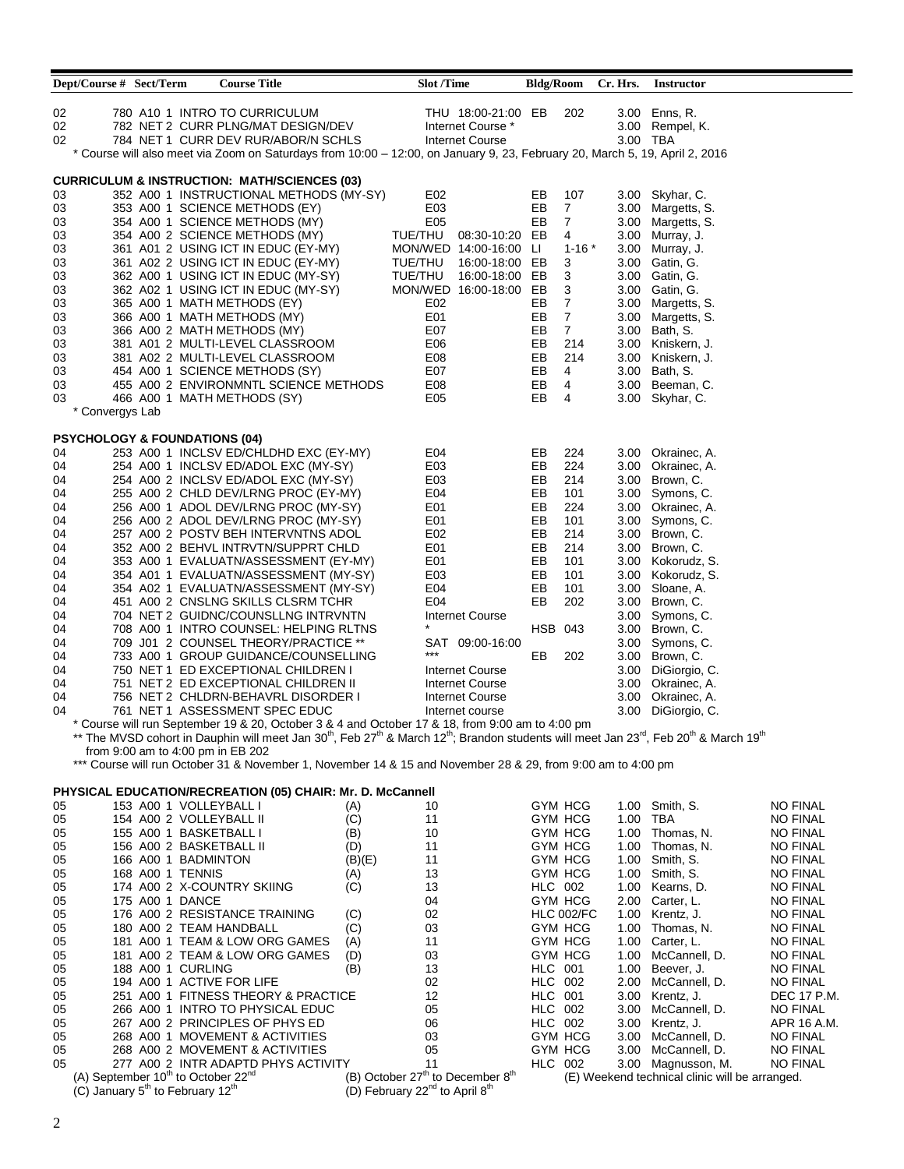| Dept/Course # Sect/Term                  |                                                          | <b>Course Title</b>                                                                                                                                                                                            |        | <b>Slot /Time</b>                                      |                                                          |                                  |                   |      | Bldg/Room Cr. Hrs. Instructor                  |                             |
|------------------------------------------|----------------------------------------------------------|----------------------------------------------------------------------------------------------------------------------------------------------------------------------------------------------------------------|--------|--------------------------------------------------------|----------------------------------------------------------|----------------------------------|-------------------|------|------------------------------------------------|-----------------------------|
|                                          |                                                          |                                                                                                                                                                                                                |        |                                                        |                                                          |                                  |                   |      |                                                |                             |
| 02                                       |                                                          | 780 A10 1 INTRO TO CURRICULUM                                                                                                                                                                                  |        |                                                        | THU 18:00-21:00 EB                                       |                                  | 202               |      | 3.00 Enns, R.                                  |                             |
| 02<br>02                                 |                                                          | 782 NET 2 CURR PLNG/MAT DESIGN/DEV<br>784 NET 1 CURR DEV RUR/ABOR/N SCHLS                                                                                                                                      |        |                                                        | Internet Course *<br>Internet Course                     |                                  |                   |      | 3.00 Rempel, K.<br>3.00 TBA                    |                             |
|                                          |                                                          | * Course will also meet via Zoom on Saturdays from 10:00 - 12:00, on January 9, 23, February 20, March 5, 19, April 2, 2016                                                                                    |        |                                                        |                                                          |                                  |                   |      |                                                |                             |
|                                          |                                                          |                                                                                                                                                                                                                |        |                                                        |                                                          |                                  |                   |      |                                                |                             |
|                                          |                                                          | <b>CURRICULUM &amp; INSTRUCTION: MATH/SCIENCES (03)</b>                                                                                                                                                        |        |                                                        |                                                          |                                  |                   |      |                                                |                             |
| 03                                       |                                                          | 352 A00 1 INSTRUCTIONAL METHODS (MY-SY)                                                                                                                                                                        |        | E02                                                    |                                                          | EB                               | 107               |      | 3.00 Skyhar, C.                                |                             |
| 03                                       |                                                          | 353 A00 1 SCIENCE METHODS (EY)                                                                                                                                                                                 |        | E03                                                    |                                                          | EB                               | $\overline{7}$    |      | 3.00 Margetts, S.                              |                             |
| 03                                       |                                                          | 354 A00 1 SCIENCE METHODS (MY)                                                                                                                                                                                 |        | E05                                                    |                                                          | EB                               | $\overline{7}$    |      | 3.00 Margetts, S.                              |                             |
| 03                                       |                                                          | 354 A00 2 SCIENCE METHODS (MY)                                                                                                                                                                                 |        |                                                        | TUE/THU 08:30-10:20 EB                                   |                                  | 4                 |      | 3.00 Murray, J.                                |                             |
| 03                                       |                                                          | 361 A01 2 USING ICT IN EDUC (EY-MY)                                                                                                                                                                            |        |                                                        | MON/WED 14:00-16:00 LI                                   |                                  | $1 - 16$ $*$      |      | 3.00 Murray, J.                                |                             |
| 03                                       |                                                          | 361 A02 2 USING ICT IN EDUC (EY-MY)<br>362 A00 1 USING ICT IN EDUC (MY-SY)                                                                                                                                     |        | TUE/THU<br>TUE/THU                                     | 16:00-18:00 EB<br>16:00-18:00 EB                         |                                  | 3                 |      | 3.00 Gatin, G.<br>3.00 Gatin, G.               |                             |
| 03<br>03                                 |                                                          | 362 A02 1 USING ICT IN EDUC (MY-SY)                                                                                                                                                                            |        |                                                        | MON/WED 16:00-18:00 EB                                   |                                  | 3<br>3            |      | 3.00 Gatin, G.                                 |                             |
| 03                                       |                                                          | 365 A00 1 MATH METHODS (EY)                                                                                                                                                                                    |        | E02                                                    |                                                          | EB                               | $\overline{7}$    |      | 3.00 Margetts, S.                              |                             |
| 03                                       |                                                          | 366 A00 1 MATH METHODS (MY)                                                                                                                                                                                    |        | E01                                                    |                                                          | EВ                               | $\overline{7}$    |      | 3.00 Margetts, S.                              |                             |
| 03                                       |                                                          | 366 A00 2 MATH METHODS (MY)                                                                                                                                                                                    |        | E07                                                    |                                                          | EВ                               | $\overline{7}$    |      | 3.00 Bath, S.                                  |                             |
| 03                                       |                                                          | 381 A01 2 MULTI-LEVEL CLASSROOM                                                                                                                                                                                |        | E06                                                    |                                                          | EB                               | 214               |      | 3.00 Kniskern, J.                              |                             |
| 03                                       |                                                          | 381 A02 2 MULTI-LEVEL CLASSROOM                                                                                                                                                                                |        | E08                                                    |                                                          | EB                               | 214               |      | 3.00 Kniskern, J.                              |                             |
| 03                                       |                                                          | 454 A00 1 SCIENCE METHODS (SY)                                                                                                                                                                                 |        | E07                                                    |                                                          | EB                               | 4                 |      | 3.00 Bath, S.                                  |                             |
| 03                                       |                                                          | 455 A00 2 ENVIRONMNTL SCIENCE METHODS                                                                                                                                                                          |        | E08                                                    |                                                          | EB                               | 4                 |      | 3.00 Beeman, C.                                |                             |
| 03                                       |                                                          | 466 A00 1 MATH METHODS (SY)                                                                                                                                                                                    |        | E <sub>05</sub>                                        |                                                          | EB                               | 4                 |      | 3.00 Skyhar, C.                                |                             |
| * Convergys Lab                          |                                                          |                                                                                                                                                                                                                |        |                                                        |                                                          |                                  |                   |      |                                                |                             |
| <b>PSYCHOLOGY &amp; FOUNDATIONS (04)</b> |                                                          |                                                                                                                                                                                                                |        |                                                        |                                                          |                                  |                   |      |                                                |                             |
| 04                                       |                                                          | 253 A00 1 INCLSV ED/CHLDHD EXC (EY-MY)                                                                                                                                                                         |        | E04                                                    |                                                          | EB                               | 224               |      | 3.00 Okrainec, A.                              |                             |
| 04                                       |                                                          | 254 A00 1 INCLSV ED/ADOL EXC (MY-SY)                                                                                                                                                                           |        | E03                                                    |                                                          | EB                               | 224               |      | 3.00 Okrainec, A.                              |                             |
| 04                                       |                                                          | 254 A00 2 INCLSV ED/ADOL EXC (MY-SY)                                                                                                                                                                           |        | E <sub>03</sub>                                        |                                                          | EB                               | 214               |      | 3.00 Brown, C.                                 |                             |
| 04                                       |                                                          | 255 A00 2 CHLD DEV/LRNG PROC (EY-MY)                                                                                                                                                                           |        | E04                                                    |                                                          | EB                               | 101               |      | 3.00 Symons, C.                                |                             |
| 04                                       |                                                          | 256 A00 1 ADOL DEV/LRNG PROC (MY-SY)                                                                                                                                                                           |        | E01                                                    |                                                          | EB                               | 224               |      | 3.00 Okrainec, A.                              |                             |
| 04                                       |                                                          | 256 A00 2 ADOL DEV/LRNG PROC (MY-SY)                                                                                                                                                                           |        | E01                                                    |                                                          | EB                               | 101               |      | 3.00 Symons, C.                                |                             |
| 04                                       |                                                          | 257 A00 2 POSTV BEH INTERVNTNS ADOL                                                                                                                                                                            |        | E02                                                    |                                                          | EВ                               | 214               |      | 3.00 Brown, C.                                 |                             |
| 04                                       |                                                          | 352 A00 2 BEHVL INTRVTN/SUPPRT CHLD                                                                                                                                                                            |        | E01                                                    |                                                          | EB                               | 214               |      | 3.00 Brown, C.                                 |                             |
| 04                                       |                                                          | 353 A00 1 EVALUATN/ASSESSMENT (EY-MY)                                                                                                                                                                          |        | E01                                                    |                                                          | EB                               | 101               |      | 3.00 Kokorudz, S.                              |                             |
| 04                                       |                                                          | 354 A01 1 EVALUATN/ASSESSMENT (MY-SY)                                                                                                                                                                          |        | E <sub>03</sub>                                        |                                                          | EB                               | 101               |      | 3.00 Kokorudz, S.                              |                             |
| 04                                       |                                                          | 354 A02 1 EVALUATN/ASSESSMENT (MY-SY)                                                                                                                                                                          |        | E04                                                    |                                                          | EВ                               | 101               |      | 3.00 Sloane, A.                                |                             |
| 04                                       |                                                          | 451 A00 2 CNSLNG SKILLS CLSRM TCHR                                                                                                                                                                             |        | E04                                                    |                                                          | EB                               | 202               |      | 3.00 Brown, C.                                 |                             |
| 04                                       |                                                          | 704 NET 2 GUIDNC/COUNSLLNG INTRVNTN                                                                                                                                                                            |        |                                                        | Internet Course                                          |                                  |                   |      | 3.00 Symons, C.                                |                             |
| 04                                       |                                                          | 708 A00 1 INTRO COUNSEL: HELPING RLTNS                                                                                                                                                                         |        |                                                        |                                                          | <b>HSB 043</b>                   |                   |      | 3.00 Brown, C.                                 |                             |
| 04                                       |                                                          | 709 J01 2 COUNSEL THEORY/PRACTICE **<br>733 A00 1 GROUP GUIDANCE/COUNSELLING                                                                                                                                   |        | $***$                                                  | SAT 09:00-16:00                                          | EB                               |                   |      | 3.00 Symons, C.<br>3.00 Brown, C.              |                             |
| 04<br>04                                 |                                                          | 750 NET 1 ED EXCEPTIONAL CHILDREN I                                                                                                                                                                            |        |                                                        | <b>Internet Course</b>                                   |                                  | 202               |      | 3.00 DiGiorgio, C.                             |                             |
| 04                                       |                                                          | 751 NET 2 ED EXCEPTIONAL CHILDREN II                                                                                                                                                                           |        |                                                        | Internet Course                                          |                                  |                   |      | 3.00 Okrainec, A.                              |                             |
| 04                                       |                                                          | 756 NET 2 CHLDRN-BEHAVRL DISORDER I                                                                                                                                                                            |        |                                                        | Internet Course                                          |                                  |                   |      | 3.00 Okrainec, A.                              |                             |
| 04                                       |                                                          | 761 NET 1 ASSESSMENT SPEC EDUC                                                                                                                                                                                 |        |                                                        | Internet course                                          |                                  |                   |      | 3.00 DiGiorgio, C.                             |                             |
|                                          |                                                          | * Course will run September 19 & 20, October 3 & 4 and October 17 & 18, from 9:00 am to 4:00 pm                                                                                                                |        |                                                        |                                                          |                                  |                   |      |                                                |                             |
|                                          |                                                          | ** The MVSD cohort in Dauphin will meet Jan 30 <sup>th</sup> , Feb 27 <sup>th</sup> & March 12 <sup>th</sup> ; Brandon students will meet Jan 23 <sup>rd</sup> , Feb 20 <sup>th</sup> & March 19 <sup>th</sup> |        |                                                        |                                                          |                                  |                   |      |                                                |                             |
|                                          |                                                          | from 9:00 am to 4:00 pm in EB 202                                                                                                                                                                              |        |                                                        |                                                          |                                  |                   |      |                                                |                             |
|                                          |                                                          | *** Course will run October 31 & November 1, November 14 & 15 and November 28 & 29, from 9:00 am to 4:00 pm                                                                                                    |        |                                                        |                                                          |                                  |                   |      |                                                |                             |
|                                          |                                                          | <b>PHYSICAL EDUCATION/RECREATION (05) CHAIR: Mr. D. McCannell</b>                                                                                                                                              |        |                                                        |                                                          |                                  |                   |      |                                                |                             |
| 05                                       |                                                          | 153 A00 1 VOLLEYBALL I                                                                                                                                                                                         | (A)    | 10                                                     |                                                          |                                  | GYM HCG           |      | 1.00 Smith, S.                                 | <b>NO FINAL</b>             |
| 05                                       |                                                          | 154 A00 2 VOLLEYBALL II                                                                                                                                                                                        | (C)    | 11                                                     |                                                          |                                  | GYM HCG           | 1.00 | TBA                                            | <b>NO FINAL</b>             |
| 05                                       |                                                          | 155 A00 1 BASKETBALL I                                                                                                                                                                                         | (B)    | 10                                                     |                                                          |                                  | GYM HCG           |      | 1.00 Thomas, N.                                | NO FINAL                    |
| 05                                       |                                                          | 156 A00 2 BASKETBALL II                                                                                                                                                                                        | (D)    | 11                                                     |                                                          |                                  | GYM HCG           |      | 1.00 Thomas, N.                                | NO FINAL                    |
| 05                                       | 166 A00 1 BADMINTON                                      |                                                                                                                                                                                                                | (B)(E) | 11                                                     |                                                          |                                  | GYM HCG           |      | 1.00 Smith, S.                                 | <b>NO FINAL</b>             |
| 05                                       | 168 A00 1 TENNIS                                         |                                                                                                                                                                                                                | (A)    | 13                                                     |                                                          |                                  | GYM HCG           |      | 1.00 Smith, S.                                 | NO FINAL                    |
| 05                                       |                                                          | 174 A00 2 X-COUNTRY SKIING                                                                                                                                                                                     | (C)    | 13                                                     |                                                          |                                  | <b>HLC 002</b>    |      | 1.00 Kearns, D.                                | <b>NO FINAL</b>             |
| 05                                       | 175 A00 1 DANCE                                          |                                                                                                                                                                                                                |        | 04                                                     |                                                          |                                  | GYM HCG           |      | 2.00 Carter, L.                                | <b>NO FINAL</b>             |
| 05                                       |                                                          | 176 A00 2 RESISTANCE TRAINING                                                                                                                                                                                  | (C)    | 02                                                     |                                                          |                                  | <b>HLC 002/FC</b> |      | 1.00 Krentz, J.                                | <b>NO FINAL</b>             |
| 05                                       |                                                          | 180 A00 2 TEAM HANDBALL                                                                                                                                                                                        | (C)    | 03                                                     |                                                          |                                  | GYM HCG           | 1.00 | Thomas, N.                                     | <b>NO FINAL</b>             |
| 05                                       |                                                          | 181 A00 1 TEAM & LOW ORG GAMES                                                                                                                                                                                 | (A)    | 11                                                     |                                                          |                                  | GYM HCG           |      | 1.00 Carter, L.                                | <b>NO FINAL</b>             |
| 05                                       |                                                          | 181 A00 2 TEAM & LOW ORG GAMES                                                                                                                                                                                 | (D)    | 03                                                     |                                                          |                                  | GYM HCG           |      | 1.00 McCannell, D.                             | <b>NO FINAL</b>             |
| 05<br>05                                 | 188 A00 1 CURLING                                        | 194 A00 1 ACTIVE FOR LIFE                                                                                                                                                                                      | (B)    | 13<br>02                                               |                                                          | <b>HLC 001</b><br><b>HLC 002</b> |                   |      | 1.00 Beever, J.<br>2.00 McCannell, D.          | NO FINAL<br><b>NO FINAL</b> |
| 05                                       |                                                          | 251 A00 1 FITNESS THEORY & PRACTICE                                                                                                                                                                            |        | 12                                                     |                                                          | <b>HLC 001</b>                   |                   |      | 3.00 Krentz, J.                                | DEC 17 P.M.                 |
| 05                                       |                                                          | 266 A00 1 INTRO TO PHYSICAL EDUC                                                                                                                                                                               |        | 05                                                     |                                                          | <b>HLC 002</b>                   |                   |      | 3.00 McCannell, D.                             | <b>NO FINAL</b>             |
| 05                                       |                                                          | 267 A00 2 PRINCIPLES OF PHYS ED                                                                                                                                                                                |        | 06                                                     |                                                          |                                  | <b>HLC 002</b>    |      | 3.00 Krentz, J.                                | APR 16 A.M.                 |
| 05                                       |                                                          | 268 A00 1 MOVEMENT & ACTIVITIES                                                                                                                                                                                |        | 03                                                     |                                                          |                                  | GYM HCG           |      | 3.00 McCannell, D.                             | <b>NO FINAL</b>             |
| 05                                       |                                                          | 268 A00 2 MOVEMENT & ACTIVITIES                                                                                                                                                                                |        | 05                                                     |                                                          |                                  | GYM HCG           |      | 3.00 McCannell, D.                             | <b>NO FINAL</b>             |
| 05                                       |                                                          | 277 A00 2 INTR ADAPTD PHYS ACTIVITY                                                                                                                                                                            |        | 11                                                     |                                                          | <b>HLC 002</b>                   |                   |      | 3.00 Magnusson, M.                             | <b>NO FINAL</b>             |
|                                          |                                                          | (A) September 10 <sup>th</sup> to October 22 <sup>nd</sup>                                                                                                                                                     |        |                                                        | (B) October 27 <sup>th</sup> to December 8 <sup>th</sup> |                                  |                   |      | (E) Weekend technical clinic will be arranged. |                             |
|                                          | (C) January 5 <sup>th</sup> to February 12 <sup>th</sup> |                                                                                                                                                                                                                |        | (D) February 22 <sup>nd</sup> to April 8 <sup>th</sup> |                                                          |                                  |                   |      |                                                |                             |